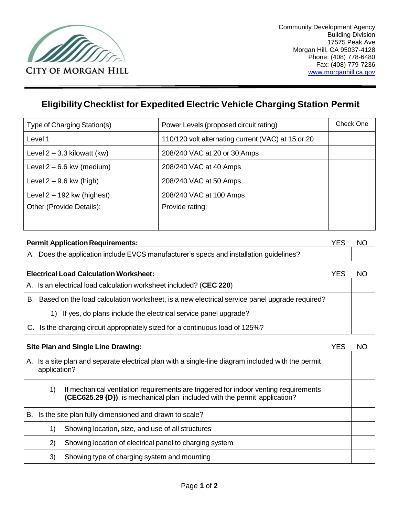

## **Eligibility Checklist for Expedited Electric Vehicle Charging Station Permit**

| Type of Charging Station(s)   | Power Levels (proposed circuit rating)             | Check One |
|-------------------------------|----------------------------------------------------|-----------|
| Level 1                       | 110/120 volt alternating current (VAC) at 15 or 20 |           |
| Level $2 - 3.3$ kilowatt (kw) | 208/240 VAC at 20 or 30 Amps                       |           |
| Level $2 - 6.6$ kw (medium)   | 208/240 VAC at 40 Amps                             |           |
| Level $2 - 9.6$ kw (high)     | 208/240 VAC at 50 Amps                             |           |
| Level $2 - 192$ kw (highest)  | 208/240 VAC at 100 Amps                            |           |
| Other (Provide Details):      | Provide rating:                                    |           |
|                               |                                                    |           |

| <b>Permit Application Requirements:</b>                                                |  | NC. |
|----------------------------------------------------------------------------------------|--|-----|
| A. Does the application include EVCS manufacturer's specs and installation guidelines? |  |     |

| <b>Electrical Load Calculation Worksheet:</b> |                                                                                              | YF. | NΟ |
|-----------------------------------------------|----------------------------------------------------------------------------------------------|-----|----|
|                                               | A. Is an electrical load calculation worksheet included? (CEC 220)                           |     |    |
| В.                                            | Based on the load calculation worksheet, is a new electrical service panel upgrade required? |     |    |
|                                               | 1) If yes, do plans include the electrical service panel upgrade?                            |     |    |
|                                               | C. Is the charging circuit appropriately sized for a continuous load of 125%?                |     |    |

| Site Plan and Single Line Drawing:                                                                                                                                      |  |
|-------------------------------------------------------------------------------------------------------------------------------------------------------------------------|--|
| A. Is a site plan and separate electrical plan with a single-line diagram included with the permit<br>application?                                                      |  |
| If mechanical ventilation requirements are triggered for indoor venting requirements<br>1)<br>(CEC625.29 {D}), is mechanical plan included with the permit application? |  |
| Is the site plan fully dimensioned and drawn to scale?<br>В.                                                                                                            |  |
| Showing location, size, and use of all structures<br>1)                                                                                                                 |  |
| Showing location of electrical panel to charging system<br>2)                                                                                                           |  |
| 3)<br>Showing type of charging system and mounting                                                                                                                      |  |